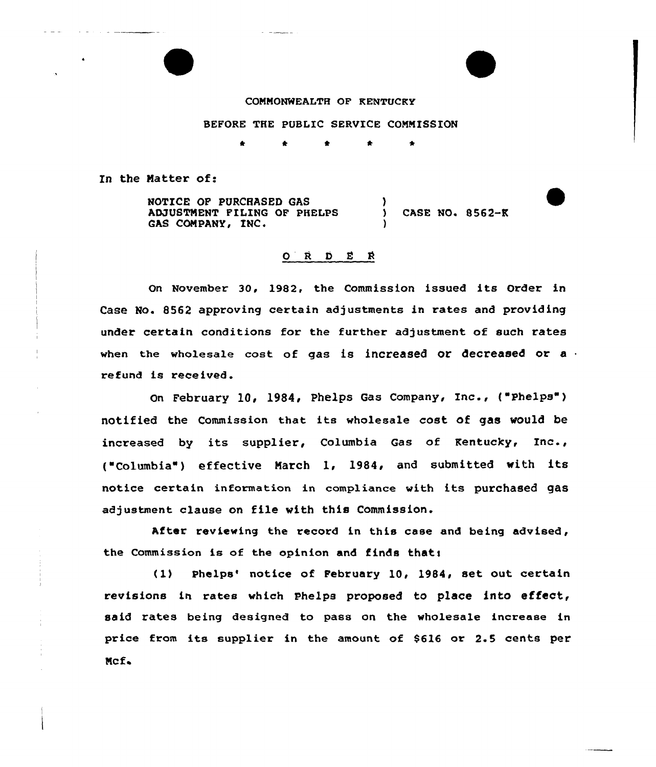## COMMONWEALTH OF RENTUCRY

## BEFORE THE PUBLIC SERVICE COMMISSION

In the Matter of:

NOTICE OF PURCHASED GAS AMUSTMENT FILING OF PHELPS GAS COMPANY, INC. ) ) CASE NO+ 8562-K )

## O R D E R

On November 30, 19S2, the Commission issued its Order in Case No. B562 approving certain adjustments in rates and providing under certain conditions for the further adjustment of such rates when the wholesale cost of gas is increased or decreased or a refund is received.

On February 10, 19S4, Phelps Gas Company, Inc., ("Phelps" ) notified the Commission that its wholesale cost of gas would be increased by its supplier, Columbia Gas of Kentucky, Inc., ("Columbia") effective March 1, 1984, and submitted with its notice certain information in compliance with its purchased gas adjustment clause on file with this Commission.

After reviewing the record in this case and being advised, the Commission is of the opinion and finds thati

(1) Phelps' notice of February 10, 1984, set out certain revisions in rates which Phelps proposed to place into effect, said rates being designed to pass on the wholesale increase in price from its supplier in the amount of \$616 or 2.5 cents per Mcf.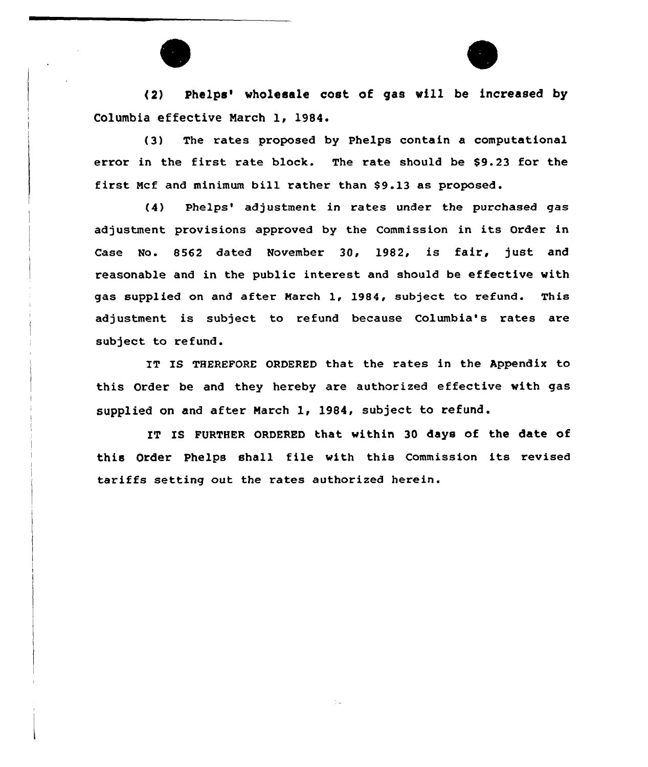(2) Phelps'holesale cost of gas vill be increased by Columbia effective Narch 1, 1984.

(3) The rates proposed by Phelps contain a computational error in the first rate block. The rate should be \$9.23 for the first Mcf and minimum bill rather than \$9.13 as proposed.

(4) Phelps' adjustment in rates under the purchased gas adjustment provisions approved by the Commission in its Order in Case No. 8562 dated November 30, 1982, is fair, just and reasonable and in the public interest and should be effective with gas supplied on and after March 1, 1984, subject to refund. This adjustment is subject to refund because Columbia's rates are subject to refund.

IT IS THEREFORE ORDERED that the rates in the Appendix to this Order be and they hereby are authorized effective with gas supplied on and after March 1, 1984, subject to refund.

IT IS FURTHER ORDERED that within 30 days of the date of this Order Phelps shall file with this Commission its revised tariffs setting out the rates authorized herein.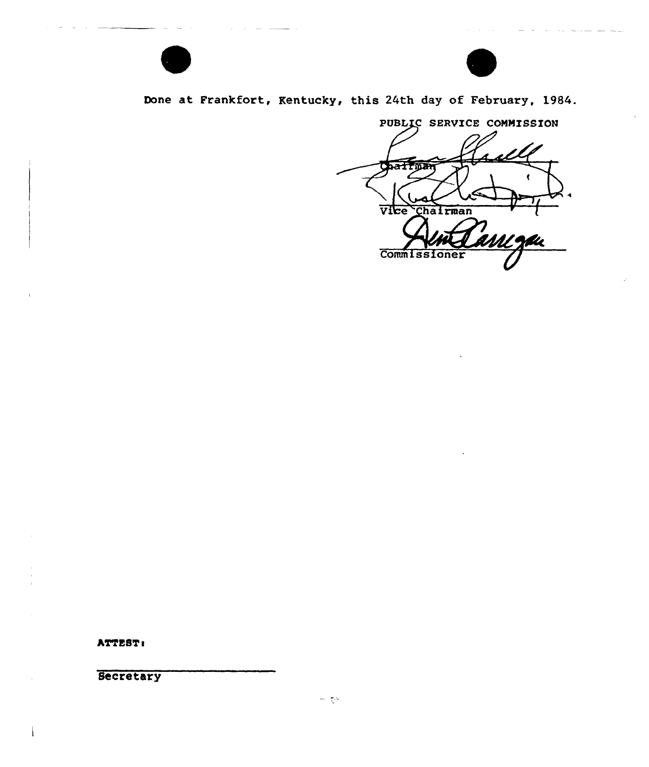

Done at Frankfort, Kentucky, this 24th day of February, 1984.

PUBLIC SERVICE COMMISSION Vice Chairman **Commissioner** 

ATTEST:

Secretary